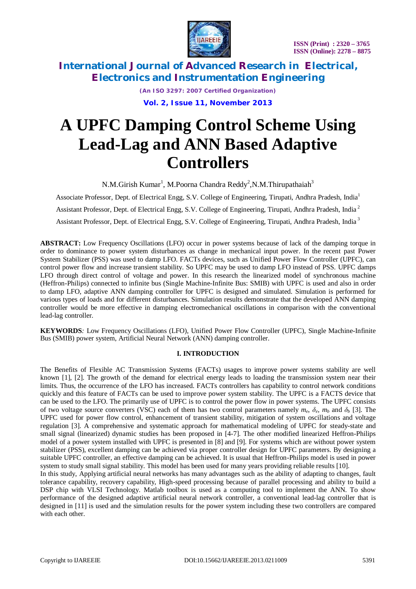



> *(An ISO 3297: 2007 Certified Organization)* **Vol. 2, Issue 11, November 2013**

# **A UPFC Damping Control Scheme Using Lead-Lag and ANN Based Adaptive Controllers**

N.M.Girish Kumar<sup>1</sup>, M.Poorna Chandra Reddy<sup>2</sup>, N.M.Thirupathaiah<sup>3</sup>

Associate Professor, Dept. of Electrical Engg, S.V. College of Engineering, Tirupati, Andhra Pradesh, India<sup>1</sup> Assistant Professor, Dept. of Electrical Engg, S.V. College of Engineering, Tirupati, Andhra Pradesh, India <sup>2</sup>

Assistant Professor, Dept. of Electrical Engg, S.V. College of Engineering, Tirupati, Andhra Pradesh, India <sup>3</sup>

**ABSTRACT:** Low Frequency Oscillations (LFO) occur in power systems because of lack of the damping torque in order to dominance to power system disturbances as change in mechanical input power. In the recent past Power System Stabilizer (PSS) was used to damp LFO. FACTs devices, such as Unified Power Flow Controller (UPFC), can control power flow and increase transient stability. So UPFC may be used to damp LFO instead of PSS. UPFC damps LFO through direct control of voltage and power. In this research the linearized model of synchronous machine (Heffron-Philips) connected to infinite bus (Single Machine-Infinite Bus: SMIB) with UPFC is used and also in order to damp LFO, adaptive ANN damping controller for UPFC is designed and simulated. Simulation is performed for various types of loads and for different disturbances. Simulation results demonstrate that the developed ANN damping controller would be more effective in damping electromechanical oscillations in comparison with the conventional lead-lag controller*.*

**KEYWORDS***:* Low Frequency Oscillations (LFO), Unified Power Flow Controller (UPFC), Single Machine-Infinite Bus (SMIB) power system, Artificial Neural Network (ANN) damping controller*.*

## **I. INTRODUCTION**

The Benefits of Flexible AC Transmission Systems (FACTs) usages to improve power systems stability are well known [1], [2]. The growth of the demand for electrical energy leads to loading the transmission system near their limits. Thus, the occurrence of the LFO has increased. FACTs controllers has capability to control network conditions quickly and this feature of FACTs can be used to improve power system stability. The UPFC is a FACTS device that can be used to the LFO. The primarily use of UPFC is to control the power flow in power systems. The UPFC consists of two voltage source converters (VSC) each of them has two control parameters namely  $m_e$ ,  $\delta_e$ ,  $m_b$  and  $\delta_b$  [3]. The UPFC used for power flow control, enhancement of transient stability, mitigation of system oscillations and voltage regulation [3]. A comprehensive and systematic approach for mathematical modeling of UPFC for steady-state and small signal (linearized) dynamic studies has been proposed in [4-7]. The other modified linearized Heffron-Philips model of a power system installed with UPFC is presented in [8] and [9]. For systems which are without power system stabilizer (PSS), excellent damping can be achieved via proper controller design for UPFC parameters. By designing a suitable UPFC controller, an effective damping can be achieved. It is usual that Heffron-Philips model is used in power system to study small signal stability. This model has been used for many years providing reliable results [10].

In this study, Applying artificial neural networks has many advantages such as the ability of adapting to changes, fault tolerance capability, recovery capability, High-speed processing because of parallel processing and ability to build a DSP chip with VLSI Technology. Matlab toolbox is used as a computing tool to implement the ANN. To show performance of the designed adaptive artificial neural network controller, a conventional lead-lag controller that is designed in [11] is used and the simulation results for the power system including these two controllers are compared with each other.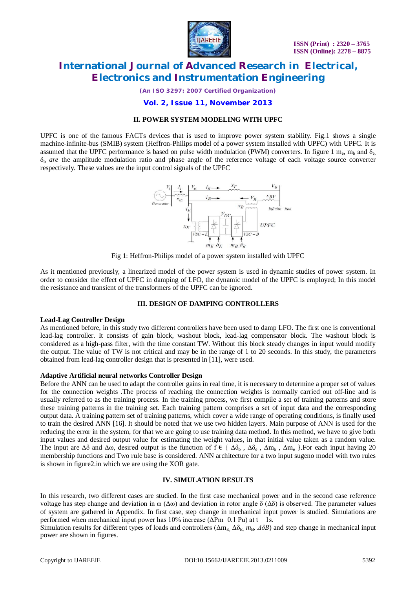

*(An ISO 3297: 2007 Certified Organization)*

## **Vol. 2, Issue 11, November 2013**

### **II. POWER SYSTEM MODELING WITH UPFC**

UPFC is one of the famous FACTs devices that is used to improve power system stability. Fig.1 shows a single machine-infinite-bus (SMIB) system (Heffron-Philips model of a power system installed with UPFC) with UPFC. It is assumed that the UPFC performance is based on pulse width modulation (PWM) converters. In figure 1 m<sub>e</sub>, m<sub>b</sub> and  $\delta_{e}$ δ<sup>b</sup> *are* the amplitude modulation ratio and phase angle of the reference voltage of each voltage source converter respectively. These values are the input control signals of the UPFC



Fig 1: Heffron-Philips model of a power system installed with UPFC

As it mentioned previously, a linearized model of the power system is used in dynamic studies of power system. In order to consider the effect of UPFC in damping of LFO, the dynamic model of the UPFC is employed; In this model the resistance and transient of the transformers of the UPFC can be ignored.

#### **III. DESIGN OF DAMPING CONTROLLERS**

#### **Lead-Lag Controller Design**

As mentioned before, in this study two different controllers have been used to damp LFO. The first one is conventional lead-lag controller. It consists of gain block, washout block, lead-lag compensator block. The washout block is considered as a high-pass filter, with the time constant TW. Without this block steady changes in input would modify the output. The value of TW is not critical and may be in the range of 1 to 20 seconds. In this study, the parameters obtained from lead-lag controller design that is presented in [11], were used.

#### **Adaptive Artificial neural networks Controller Design**

Before the ANN can be used to adapt the controller gains in real time, it is necessary to determine a proper set of values for the connection weights .The process of reaching the connection weights is normally carried out off-line and is usually referred to as the training process. In the training process, we first compile a set of training patterns and store these training patterns in the training set. Each training pattern comprises a set of input data and the corresponding output data. A training pattern set of training patterns, which cover a wide range of operating conditions, is finally used to train the desired ANN [16]. It should be noted that we use two hidden layers. Main purpose of ANN is used for the reducing the error in the system, for that we are going to use training data method. In this method, we have to give both input values and desired output value for estimating the weight values, in that initial value taken as a random value. The input are  $\Delta\delta$  and  $\Delta\omega$ , desired output is the function of  $f \in {\Delta\delta_b}$ ,  $\Delta\delta_e$ ,  $\Delta m_b$ ,  $\Delta m_e$  }. For each input having 20 membership functions and Two rule base is considered. ANN architecture for a two input sugeno model with two rules is shown in figure2.in which we are using the XOR gate.

#### **IV. SIMULATION RESULTS**

In this research, two different cases are studied. In the first case mechanical power and in the second case reference voltage has step change and deviation in  $\omega(\Delta\omega)$  and deviation in rotor angle  $\delta(\Delta\delta)$  is observed. The parameter values of system are gathered in Appendix. In first case, step change in mechanical input power is studied. Simulations are performed when mechanical input power has 10% increase ( $\Delta Pm=0.1$  Pu) at t = 1s.

Simulation results for different types of loads and controllers ( $\Delta m_E$ ,  $\Delta \delta_E$ ,  $m_B$ ,  $\Delta \delta B$ ) and step change in mechanical input power are shown in figures.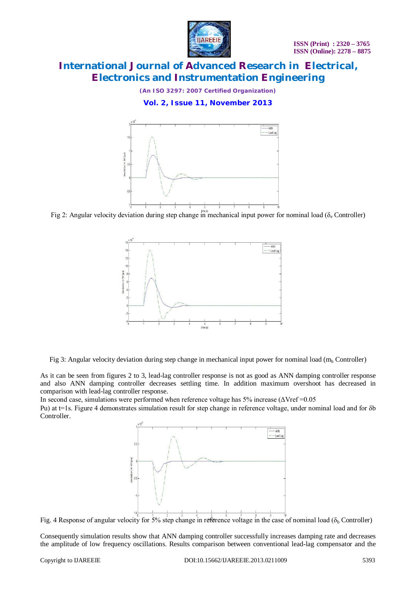

*(An ISO 3297: 2007 Certified Organization)*

**Vol. 2, Issue 11, November 2013**



Fig 2: Angular velocity deviation during step change in mechanical input power for nominal load ( $\delta_e$  Controller)



Fig 3: Angular velocity deviation during step change in mechanical input power for nominal load ( $m_b$  Controller)

As it can be seen from figures 2 to 3, lead-lag controller response is not as good as ANN damping controller response and also ANN damping controller decreases settling time. In addition maximum overshoot has decreased in comparison with lead-lag controller response.

In second case, simulations were performed when reference voltage has 5% increase ( $\Delta V$ ref = 0.05

Pu) at t=1s. Figure 4 demonstrates simulation result for step change in reference voltage, under nominal load and for δb Controller.



Fig. 4 Response of angular velocity for 5% step change in reference voltage in the case of nominal load ( $\delta_b$  Controller)

Consequently simulation results show that ANN damping controller successfully increases damping rate and decreases the amplitude of low frequency oscillations. Results comparison between conventional lead-lag compensator and the